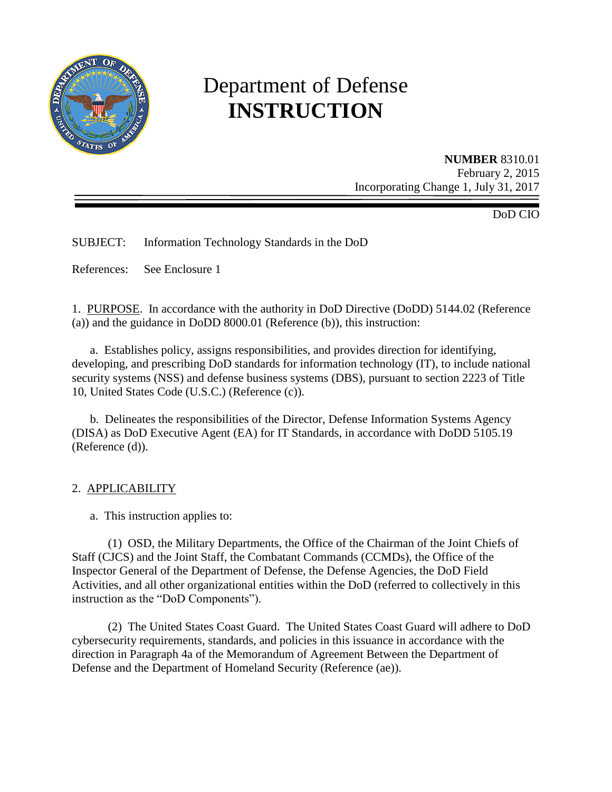

# Department of Defense **INSTRUCTION**

**NUMBER** 8310.01 February 2, 2015 Incorporating Change 1, July 31, 2017

DoD CIO

SUBJECT: Information Technology Standards in the DoD

References: See Enclosure 1

1. PURPOSE. In accordance with the authority in DoD Directive (DoDD) 5144.02 (Reference (a)) and the guidance in DoDD 8000.01 (Reference (b)), this instruction:

a. Establishes policy, assigns responsibilities, and provides direction for identifying, developing, and prescribing DoD standards for information technology (IT), to include national security systems (NSS) and defense business systems (DBS), pursuant to section 2223 of Title 10, United States Code (U.S.C.) (Reference (c)).

b. Delineates the responsibilities of the Director, Defense Information Systems Agency (DISA) as DoD Executive Agent (EA) for IT Standards, in accordance with DoDD 5105.19 (Reference (d)).

## 2. APPLICABILITY

a. This instruction applies to:

(1) OSD, the Military Departments, the Office of the Chairman of the Joint Chiefs of Staff (CJCS) and the Joint Staff, the Combatant Commands (CCMDs), the Office of the Inspector General of the Department of Defense, the Defense Agencies, the DoD Field Activities, and all other organizational entities within the DoD (referred to collectively in this instruction as the "DoD Components").

(2) The United States Coast Guard. The United States Coast Guard will adhere to DoD cybersecurity requirements, standards, and policies in this issuance in accordance with the direction in Paragraph 4a of the Memorandum of Agreement Between the Department of Defense and the Department of Homeland Security (Reference (ae)).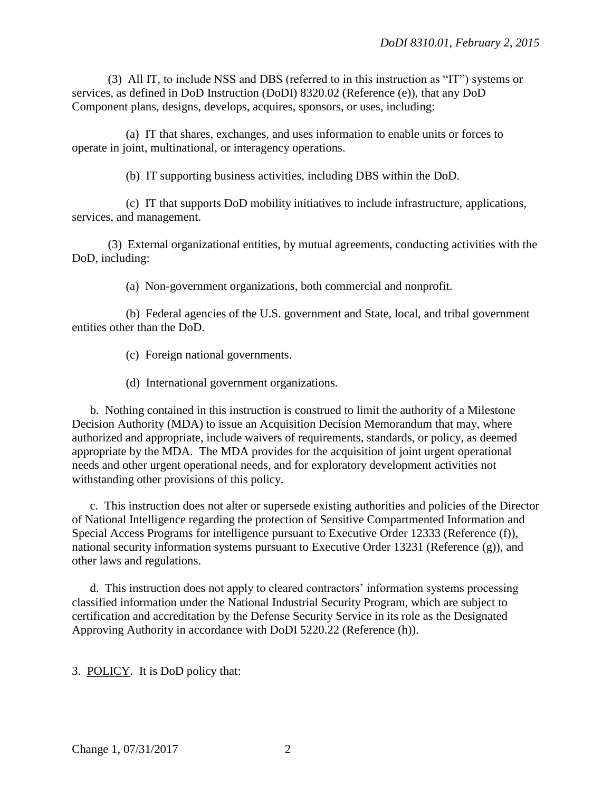(3) All IT, to include NSS and DBS (referred to in this instruction as "IT") systems or services, as defined in DoD Instruction (DoDI) 8320.02 (Reference (e)), that any DoD Component plans, designs, develops, acquires, sponsors, or uses, including:

(a) IT that shares, exchanges, and uses information to enable units or forces to operate in joint, multinational, or interagency operations.

(b) IT supporting business activities, including DBS within the DoD.

(c) IT that supports DoD mobility initiatives to include infrastructure, applications, services, and management.

(3) External organizational entities, by mutual agreements, conducting activities with the DoD, including:

(a) Non-government organizations, both commercial and nonprofit.

(b) Federal agencies of the U.S. government and State, local, and tribal government entities other than the DoD.

(c) Foreign national governments.

(d) International government organizations.

b. Nothing contained in this instruction is construed to limit the authority of a Milestone Decision Authority (MDA) to issue an Acquisition Decision Memorandum that may, where authorized and appropriate, include waivers of requirements, standards, or policy, as deemed appropriate by the MDA. The MDA provides for the acquisition of joint urgent operational needs and other urgent operational needs, and for exploratory development activities not withstanding other provisions of this policy.

c. This instruction does not alter or supersede existing authorities and policies of the Director of National Intelligence regarding the protection of Sensitive Compartmented Information and Special Access Programs for intelligence pursuant to Executive Order 12333 (Reference (f)), national security information systems pursuant to Executive Order 13231 (Reference (g)), and other laws and regulations.

d. This instruction does not apply to cleared contractors' information systems processing classified information under the National Industrial Security Program, which are subject to certification and accreditation by the Defense Security Service in its role as the Designated Approving Authority in accordance with DoDI 5220.22 (Reference (h)).

3. POLICY. It is DoD policy that: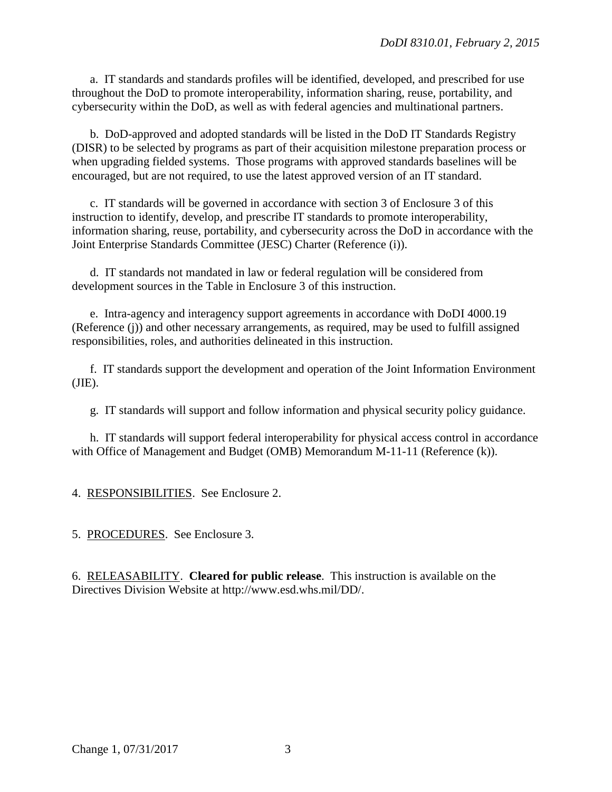a. IT standards and standards profiles will be identified, developed, and prescribed for use throughout the DoD to promote interoperability, information sharing, reuse, portability, and cybersecurity within the DoD, as well as with federal agencies and multinational partners.

b. DoD-approved and adopted standards will be listed in the DoD IT Standards Registry (DISR) to be selected by programs as part of their acquisition milestone preparation process or when upgrading fielded systems. Those programs with approved standards baselines will be encouraged, but are not required, to use the latest approved version of an IT standard.

c. IT standards will be governed in accordance with section 3 of Enclosure 3 of this instruction to identify, develop, and prescribe IT standards to promote interoperability, information sharing, reuse, portability, and cybersecurity across the DoD in accordance with the Joint Enterprise Standards Committee (JESC) Charter (Reference (i)).

d. IT standards not mandated in law or federal regulation will be considered from development sources in the Table in Enclosure 3 of this instruction.

e. Intra-agency and interagency support agreements in accordance with DoDI 4000.19 (Reference (j)) and other necessary arrangements, as required, may be used to fulfill assigned responsibilities, roles, and authorities delineated in this instruction.

f. IT standards support the development and operation of the Joint Information Environment  $(JIE)$ .

g. IT standards will support and follow information and physical security policy guidance.

h. IT standards will support federal interoperability for physical access control in accordance with Office of Management and Budget (OMB) Memorandum M-11-11 (Reference (k)).

4. RESPONSIBILITIES. See Enclosure 2.

5. PROCEDURES. See Enclosure 3.

6. RELEASABILITY. **Cleared for public release**. This instruction is available on the Directives Division Website at http://www.esd.whs.mil/DD/.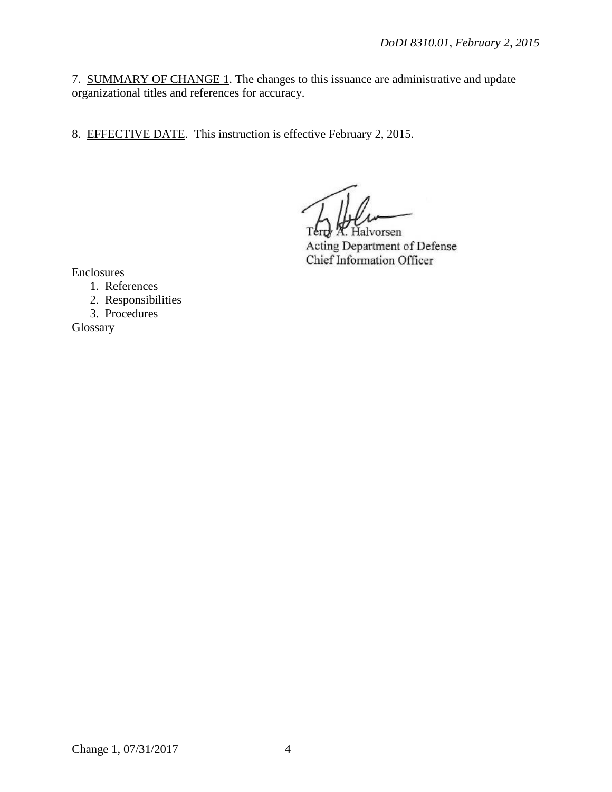7. SUMMARY OF CHANGE 1. The changes to this issuance are administrative and update organizational titles and references for accuracy.

8. EFFECTIVE DATE. This instruction is effective February 2, 2015.

Terry *R.* Halvorsen Acting Department of Defense Chief Information Officer

Enclosures

- 1. References
- 2. Responsibilities
- 3. Procedures

Glossary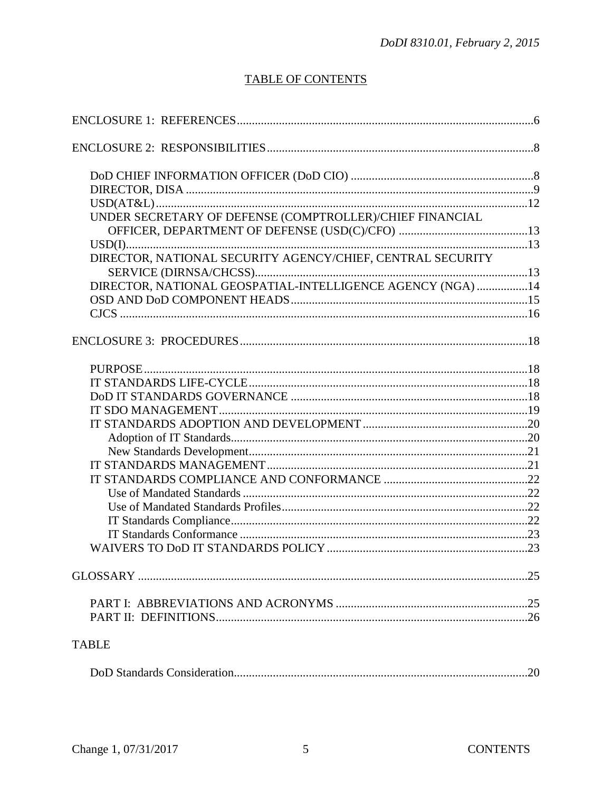# **TABLE OF CONTENTS**

| UNDER SECRETARY OF DEFENSE (COMPTROLLER)/CHIEF FINANCIAL   |  |
|------------------------------------------------------------|--|
|                                                            |  |
|                                                            |  |
|                                                            |  |
|                                                            |  |
| DIRECTOR, NATIONAL GEOSPATIAL-INTELLIGENCE AGENCY (NGA) 14 |  |
|                                                            |  |
|                                                            |  |
|                                                            |  |
|                                                            |  |
|                                                            |  |
|                                                            |  |
|                                                            |  |
|                                                            |  |
|                                                            |  |
|                                                            |  |
|                                                            |  |
|                                                            |  |
|                                                            |  |
|                                                            |  |
|                                                            |  |
|                                                            |  |
|                                                            |  |
|                                                            |  |
|                                                            |  |
|                                                            |  |
| <b>TABLE</b>                                               |  |
|                                                            |  |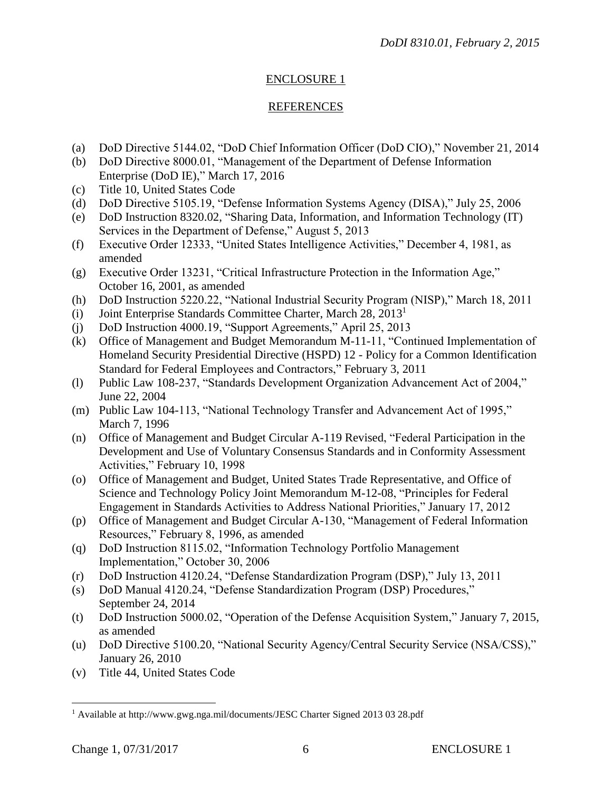# ENCLOSURE 1

# REFERENCES

- (a) DoD Directive 5144.02, "DoD Chief Information Officer (DoD CIO)," November 21, 2014
- (b) DoD Directive 8000.01, "Management of the Department of Defense Information Enterprise (DoD IE)," March 17, 2016
- (c) Title 10, United States Code
- (d) DoD Directive 5105.19, "Defense Information Systems Agency (DISA)," July 25, 2006
- (e) DoD Instruction 8320.02, "Sharing Data, Information, and Information Technology (IT) Services in the Department of Defense," August 5, 2013
- (f) Executive Order 12333, "United States Intelligence Activities," December 4, 1981, as amended
- (g) Executive Order 13231, "Critical Infrastructure Protection in the Information Age," October 16, 2001, as amended
- (h) DoD Instruction 5220.22, "National Industrial Security Program (NISP)," March 18, 2011
- (i) Joint Enterprise Standards Committee Charter, March 28, 2013<sup>1</sup>
- (j) DoD Instruction 4000.19, "Support Agreements," April 25, 2013
- (k) Office of Management and Budget Memorandum M-11-11, "Continued Implementation of Homeland Security Presidential Directive (HSPD) 12 - Policy for a Common Identification Standard for Federal Employees and Contractors," February 3, 2011
- (l) Public Law 108-237, "Standards Development Organization Advancement Act of 2004," June 22, 2004
- (m) Public Law 104-113, "National Technology Transfer and Advancement Act of 1995," March 7, 1996
- (n) Office of Management and Budget Circular A-119 Revised, "Federal Participation in the Development and Use of Voluntary Consensus Standards and in Conformity Assessment Activities," February 10, 1998
- (o) Office of Management and Budget, United States Trade Representative, and Office of Science and Technology Policy Joint Memorandum M-12-08, "Principles for Federal Engagement in Standards Activities to Address National Priorities," January 17, 2012
- (p) Office of Management and Budget Circular A-130, "Management of Federal Information Resources," February 8, 1996, as amended
- (q) DoD Instruction 8115.02, "Information Technology Portfolio Management Implementation," October 30, 2006
- (r) DoD Instruction 4120.24, "Defense Standardization Program (DSP)," July 13, 2011
- (s) DoD Manual 4120.24, "Defense Standardization Program (DSP) Procedures," September 24, 2014
- (t) DoD Instruction 5000.02, "Operation of the Defense Acquisition System," January 7, 2015, as amended
- (u) DoD Directive 5100.20, "National Security Agency/Central Security Service (NSA/CSS)," January 26, 2010
- (v) Title 44, United States Code

 $\overline{a}$ 

<sup>1</sup> Available at http://www.gwg.nga.mil/documents/JESC Charter Signed 2013 03 28.pdf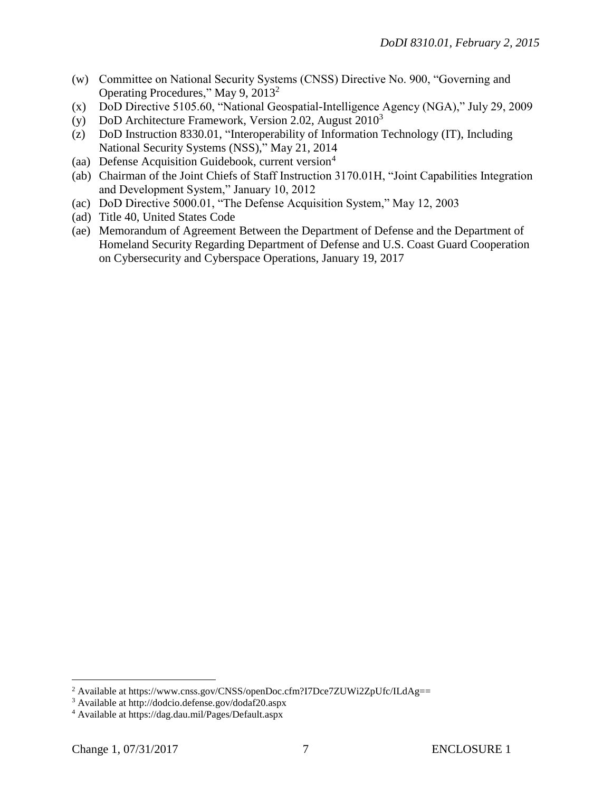- (w) Committee on National Security Systems (CNSS) Directive No. 900, "Governing and Operating Procedures," May 9, 2013<sup>2</sup>
- (x) DoD Directive 5105.60, "National Geospatial-Intelligence Agency (NGA)," July 29, 2009
- (y) DoD Architecture Framework, Version 2.02, August  $2010<sup>3</sup>$
- (z) DoD Instruction 8330.01, "Interoperability of Information Technology (IT), Including National Security Systems (NSS)," May 21, 2014
- (aa) Defense Acquisition Guidebook, current version<sup>4</sup>
- (ab) Chairman of the Joint Chiefs of Staff Instruction 3170.01H, "Joint Capabilities Integration and Development System," January 10, 2012
- (ac) DoD Directive 5000.01, "The Defense Acquisition System," May 12, 2003
- (ad) Title 40, United States Code
- (ae) Memorandum of Agreement Between the Department of Defense and the Department of Homeland Security Regarding Department of Defense and U.S. Coast Guard Cooperation on Cybersecurity and Cyberspace Operations, January 19, 2017

 $\overline{a}$ 

<sup>&</sup>lt;sup>2</sup> Available at https://www.cnss.gov/CNSS/openDoc.cfm?I7Dce7ZUWi2ZpUfc/ILdAg==

<sup>3</sup> Available at http://dodcio.defense.gov/dodaf20.aspx

<sup>4</sup> Available at https://dag.dau.mil/Pages/Default.aspx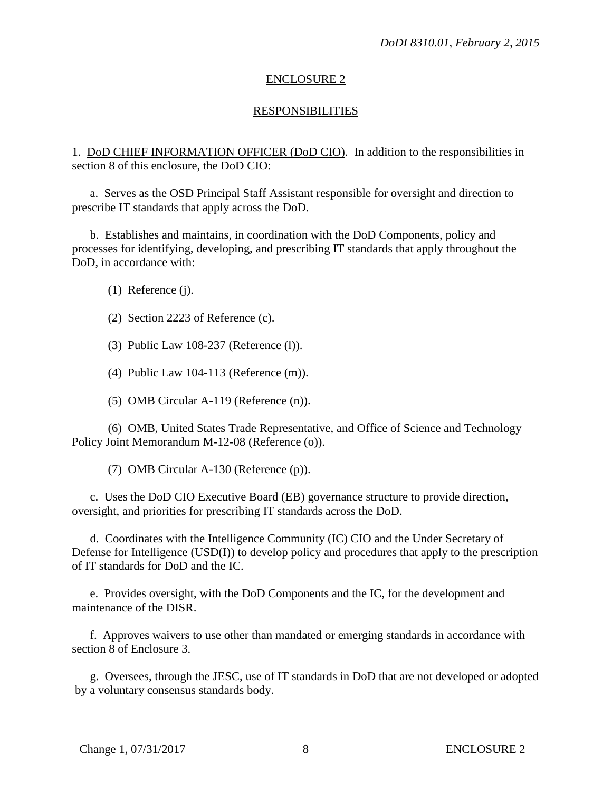# ENCLOSURE 2

# RESPONSIBILITIES

1. DoD CHIEF INFORMATION OFFICER (DoD CIO). In addition to the responsibilities in section 8 of this enclosure, the DoD CIO:

a. Serves as the OSD Principal Staff Assistant responsible for oversight and direction to prescribe IT standards that apply across the DoD.

b. Establishes and maintains, in coordination with the DoD Components, policy and processes for identifying, developing, and prescribing IT standards that apply throughout the DoD, in accordance with:

(1) Reference (j).

(2) Section 2223 of Reference (c).

(3) Public Law 108-237 (Reference (l)).

(4) Public Law 104-113 (Reference (m)).

(5) OMB Circular A-119 (Reference (n)).

(6) OMB, United States Trade Representative, and Office of Science and Technology Policy Joint Memorandum M-12-08 (Reference (o)).

(7) OMB Circular A-130 (Reference (p)).

c. Uses the DoD CIO Executive Board (EB) governance structure to provide direction, oversight, and priorities for prescribing IT standards across the DoD.

d. Coordinates with the Intelligence Community (IC) CIO and the Under Secretary of Defense for Intelligence (USD(I)) to develop policy and procedures that apply to the prescription of IT standards for DoD and the IC.

e. Provides oversight, with the DoD Components and the IC, for the development and maintenance of the DISR.

f. Approves waivers to use other than mandated or emerging standards in accordance with section 8 of Enclosure 3.

g. Oversees, through the JESC, use of IT standards in DoD that are not developed or adopted by a voluntary consensus standards body.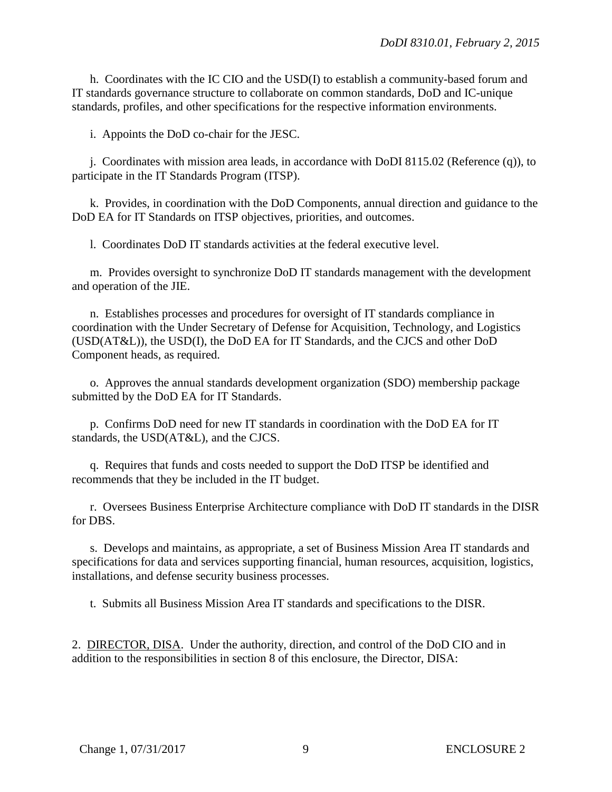h. Coordinates with the IC CIO and the USD(I) to establish a community-based forum and IT standards governance structure to collaborate on common standards, DoD and IC-unique standards, profiles, and other specifications for the respective information environments.

i. Appoints the DoD co-chair for the JESC.

j. Coordinates with mission area leads, in accordance with DoDI 8115.02 (Reference (q)), to participate in the IT Standards Program (ITSP).

k. Provides, in coordination with the DoD Components, annual direction and guidance to the DoD EA for IT Standards on ITSP objectives, priorities, and outcomes.

l. Coordinates DoD IT standards activities at the federal executive level.

m. Provides oversight to synchronize DoD IT standards management with the development and operation of the JIE.

n. Establishes processes and procedures for oversight of IT standards compliance in coordination with the Under Secretary of Defense for Acquisition, Technology, and Logistics (USD(AT&L)), the USD(I), the DoD EA for IT Standards, and the CJCS and other DoD Component heads, as required.

o. Approves the annual standards development organization (SDO) membership package submitted by the DoD EA for IT Standards.

p. Confirms DoD need for new IT standards in coordination with the DoD EA for IT standards, the USD(AT&L), and the CJCS.

q. Requires that funds and costs needed to support the DoD ITSP be identified and recommends that they be included in the IT budget.

r. Oversees Business Enterprise Architecture compliance with DoD IT standards in the DISR for DBS.

s. Develops and maintains, as appropriate, a set of Business Mission Area IT standards and specifications for data and services supporting financial, human resources, acquisition, logistics, installations, and defense security business processes.

t. Submits all Business Mission Area IT standards and specifications to the DISR.

2. DIRECTOR, DISA. Under the authority, direction, and control of the DoD CIO and in addition to the responsibilities in section 8 of this enclosure, the Director, DISA: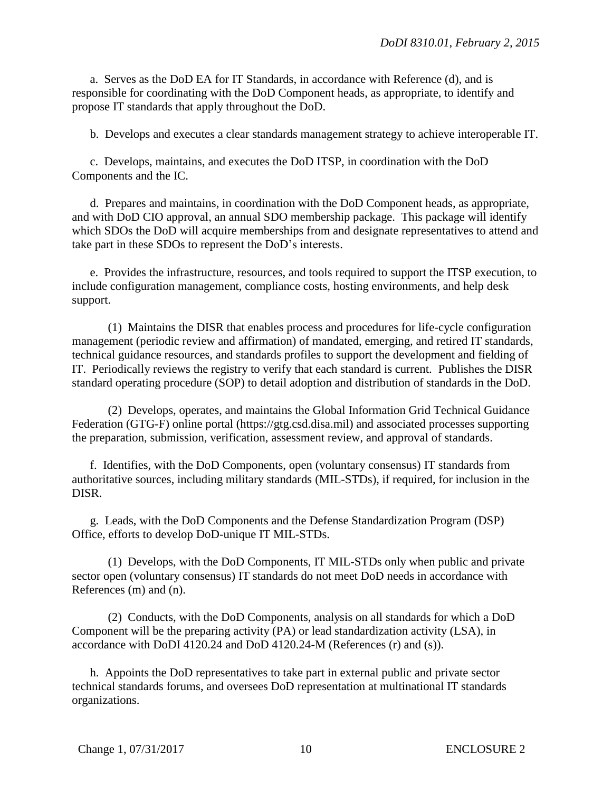a. Serves as the DoD EA for IT Standards, in accordance with Reference (d), and is responsible for coordinating with the DoD Component heads, as appropriate, to identify and propose IT standards that apply throughout the DoD.

b. Develops and executes a clear standards management strategy to achieve interoperable IT.

c. Develops, maintains, and executes the DoD ITSP, in coordination with the DoD Components and the IC.

d. Prepares and maintains, in coordination with the DoD Component heads, as appropriate, and with DoD CIO approval, an annual SDO membership package. This package will identify which SDOs the DoD will acquire memberships from and designate representatives to attend and take part in these SDOs to represent the DoD's interests.

e. Provides the infrastructure, resources, and tools required to support the ITSP execution, to include configuration management, compliance costs, hosting environments, and help desk support.

(1) Maintains the DISR that enables process and procedures for life-cycle configuration management (periodic review and affirmation) of mandated, emerging, and retired IT standards, technical guidance resources, and standards profiles to support the development and fielding of IT. Periodically reviews the registry to verify that each standard is current. Publishes the DISR standard operating procedure (SOP) to detail adoption and distribution of standards in the DoD.

(2) Develops, operates, and maintains the Global Information Grid Technical Guidance Federation (GTG-F) online portal (https://gtg.csd.disa.mil) and associated processes supporting the preparation, submission, verification, assessment review, and approval of standards.

f. Identifies, with the DoD Components, open (voluntary consensus) IT standards from authoritative sources, including military standards (MIL-STDs), if required, for inclusion in the DISR.

g. Leads, with the DoD Components and the Defense Standardization Program (DSP) Office, efforts to develop DoD-unique IT MIL-STDs.

(1) Develops, with the DoD Components, IT MIL-STDs only when public and private sector open (voluntary consensus) IT standards do not meet DoD needs in accordance with References (m) and (n).

(2) Conducts, with the DoD Components, analysis on all standards for which a DoD Component will be the preparing activity (PA) or lead standardization activity (LSA), in accordance with DoDI 4120.24 and DoD 4120.24-M (References (r) and (s)).

h. Appoints the DoD representatives to take part in external public and private sector technical standards forums, and oversees DoD representation at multinational IT standards organizations.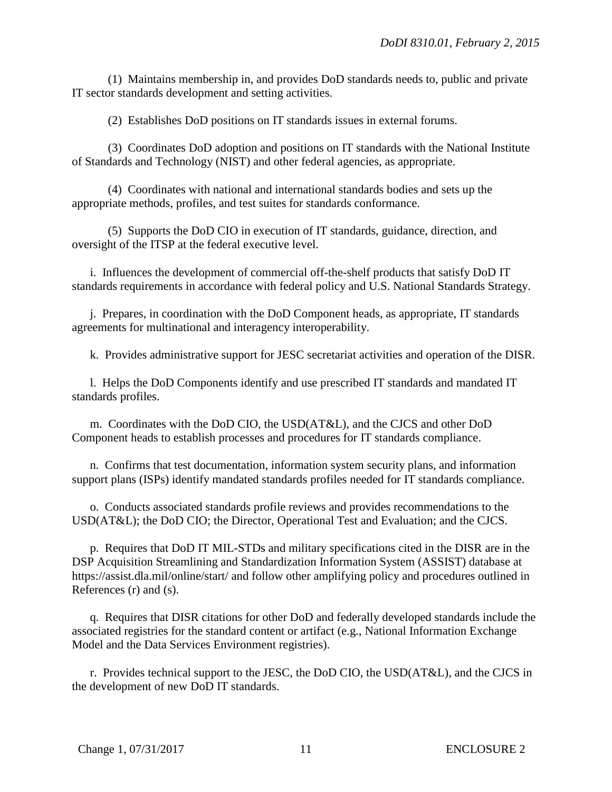(1) Maintains membership in, and provides DoD standards needs to, public and private IT sector standards development and setting activities.

(2) Establishes DoD positions on IT standards issues in external forums.

(3) Coordinates DoD adoption and positions on IT standards with the National Institute of Standards and Technology (NIST) and other federal agencies, as appropriate.

(4) Coordinates with national and international standards bodies and sets up the appropriate methods, profiles, and test suites for standards conformance.

(5) Supports the DoD CIO in execution of IT standards, guidance, direction, and oversight of the ITSP at the federal executive level.

i. Influences the development of commercial off-the-shelf products that satisfy DoD IT standards requirements in accordance with federal policy and U.S. National Standards Strategy.

j. Prepares, in coordination with the DoD Component heads, as appropriate, IT standards agreements for multinational and interagency interoperability.

k. Provides administrative support for JESC secretariat activities and operation of the DISR.

l. Helps the DoD Components identify and use prescribed IT standards and mandated IT standards profiles.

m. Coordinates with the DoD CIO, the USD(AT&L), and the CJCS and other DoD Component heads to establish processes and procedures for IT standards compliance.

n. Confirms that test documentation, information system security plans, and information support plans (ISPs) identify mandated standards profiles needed for IT standards compliance.

o. Conducts associated standards profile reviews and provides recommendations to the USD(AT&L); the DoD CIO; the Director, Operational Test and Evaluation; and the CJCS.

p. Requires that DoD IT MIL-STDs and military specifications cited in the DISR are in the DSP Acquisition Streamlining and Standardization Information System (ASSIST) database at https://assist.dla.mil/online/start/ and follow other amplifying policy and procedures outlined in References (r) and (s).

q. Requires that DISR citations for other DoD and federally developed standards include the associated registries for the standard content or artifact (e.g., National Information Exchange Model and the Data Services Environment registries).

r. Provides technical support to the JESC, the DoD CIO, the USD(AT&L), and the CJCS in the development of new DoD IT standards.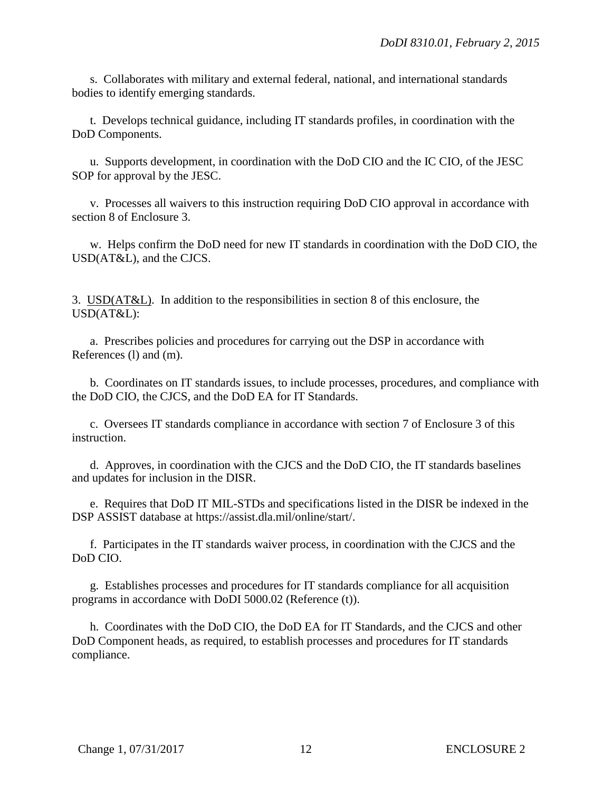s. Collaborates with military and external federal, national, and international standards bodies to identify emerging standards.

t. Develops technical guidance, including IT standards profiles, in coordination with the DoD Components.

u. Supports development, in coordination with the DoD CIO and the IC CIO, of the JESC SOP for approval by the JESC.

v. Processes all waivers to this instruction requiring DoD CIO approval in accordance with section 8 of Enclosure 3.

w. Helps confirm the DoD need for new IT standards in coordination with the DoD CIO, the USD(AT&L), and the CJCS.

3. USD(AT&L). In addition to the responsibilities in section 8 of this enclosure, the USD(AT&L):

a. Prescribes policies and procedures for carrying out the DSP in accordance with References (l) and (m).

b. Coordinates on IT standards issues, to include processes, procedures, and compliance with the DoD CIO, the CJCS, and the DoD EA for IT Standards.

c. Oversees IT standards compliance in accordance with section 7 of Enclosure 3 of this instruction.

d. Approves, in coordination with the CJCS and the DoD CIO, the IT standards baselines and updates for inclusion in the DISR.

e. Requires that DoD IT MIL-STDs and specifications listed in the DISR be indexed in the DSP ASSIST database at https://assist.dla.mil/online/start/.

f. Participates in the IT standards waiver process, in coordination with the CJCS and the DoD CIO.

g. Establishes processes and procedures for IT standards compliance for all acquisition programs in accordance with DoDI 5000.02 (Reference (t)).

h. Coordinates with the DoD CIO, the DoD EA for IT Standards, and the CJCS and other DoD Component heads, as required, to establish processes and procedures for IT standards compliance.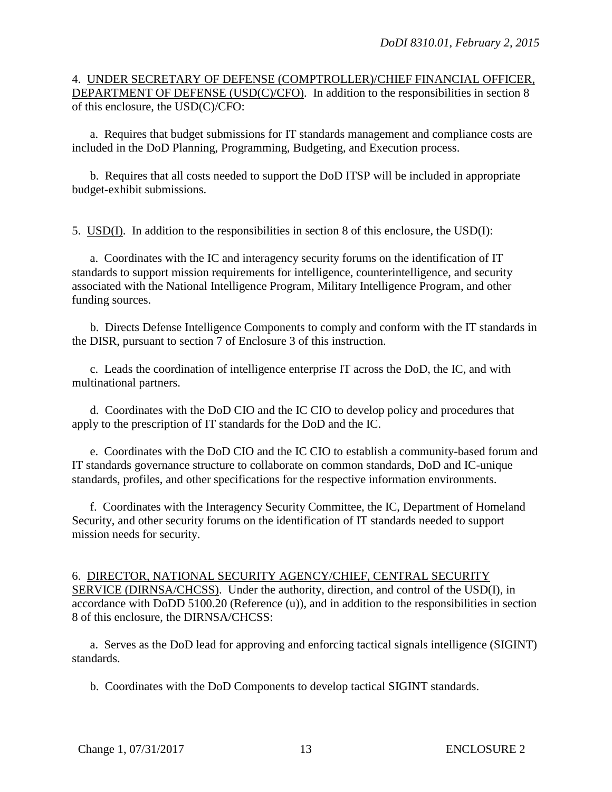### 4. UNDER SECRETARY OF DEFENSE (COMPTROLLER)/CHIEF FINANCIAL OFFICER, DEPARTMENT OF DEFENSE (USD(C)/CFO). In addition to the responsibilities in section 8 of this enclosure, the USD(C)/CFO:

a. Requires that budget submissions for IT standards management and compliance costs are included in the DoD Planning, Programming, Budgeting, and Execution process.

b. Requires that all costs needed to support the DoD ITSP will be included in appropriate budget-exhibit submissions.

5. USD(I). In addition to the responsibilities in section 8 of this enclosure, the USD(I):

a. Coordinates with the IC and interagency security forums on the identification of IT standards to support mission requirements for intelligence, counterintelligence, and security associated with the National Intelligence Program, Military Intelligence Program, and other funding sources.

b. Directs Defense Intelligence Components to comply and conform with the IT standards in the DISR, pursuant to section 7 of Enclosure 3 of this instruction.

c. Leads the coordination of intelligence enterprise IT across the DoD, the IC, and with multinational partners.

d. Coordinates with the DoD CIO and the IC CIO to develop policy and procedures that apply to the prescription of IT standards for the DoD and the IC.

e. Coordinates with the DoD CIO and the IC CIO to establish a community-based forum and IT standards governance structure to collaborate on common standards, DoD and IC-unique standards, profiles, and other specifications for the respective information environments.

f. Coordinates with the Interagency Security Committee, the IC, Department of Homeland Security, and other security forums on the identification of IT standards needed to support mission needs for security.

6. DIRECTOR, NATIONAL SECURITY AGENCY/CHIEF, CENTRAL SECURITY SERVICE (DIRNSA/CHCSS). Under the authority, direction, and control of the USD(I), in accordance with DoDD 5100.20 (Reference (u)), and in addition to the responsibilities in section 8 of this enclosure, the DIRNSA/CHCSS:

a. Serves as the DoD lead for approving and enforcing tactical signals intelligence (SIGINT) standards.

b. Coordinates with the DoD Components to develop tactical SIGINT standards.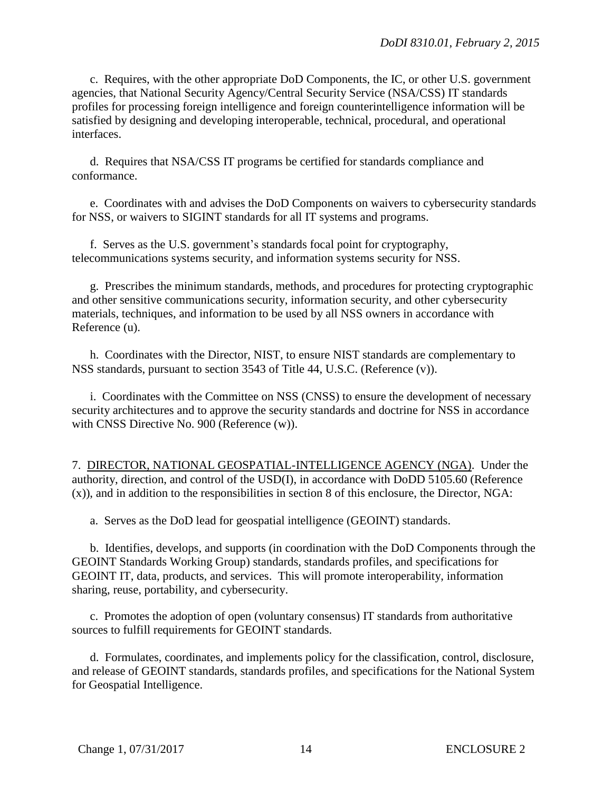c. Requires, with the other appropriate DoD Components, the IC, or other U.S. government agencies, that National Security Agency/Central Security Service (NSA/CSS) IT standards profiles for processing foreign intelligence and foreign counterintelligence information will be satisfied by designing and developing interoperable, technical, procedural, and operational interfaces.

d. Requires that NSA/CSS IT programs be certified for standards compliance and conformance.

e. Coordinates with and advises the DoD Components on waivers to cybersecurity standards for NSS, or waivers to SIGINT standards for all IT systems and programs.

f. Serves as the U.S. government's standards focal point for cryptography, telecommunications systems security, and information systems security for NSS.

g. Prescribes the minimum standards, methods, and procedures for protecting cryptographic and other sensitive communications security, information security, and other cybersecurity materials, techniques, and information to be used by all NSS owners in accordance with Reference (u).

h. Coordinates with the Director, NIST, to ensure NIST standards are complementary to NSS standards, pursuant to section 3543 of Title 44, U.S.C. (Reference (v)).

i. Coordinates with the Committee on NSS (CNSS) to ensure the development of necessary security architectures and to approve the security standards and doctrine for NSS in accordance with CNSS Directive No. 900 (Reference (w)).

7. DIRECTOR, NATIONAL GEOSPATIAL-INTELLIGENCE AGENCY (NGA). Under the authority, direction, and control of the USD(I), in accordance with DoDD 5105.60 (Reference (x)), and in addition to the responsibilities in section 8 of this enclosure, the Director, NGA:

a. Serves as the DoD lead for geospatial intelligence (GEOINT) standards.

b. Identifies, develops, and supports (in coordination with the DoD Components through the GEOINT Standards Working Group) standards, standards profiles, and specifications for GEOINT IT, data, products, and services. This will promote interoperability, information sharing, reuse, portability, and cybersecurity.

c. Promotes the adoption of open (voluntary consensus) IT standards from authoritative sources to fulfill requirements for GEOINT standards.

d. Formulates, coordinates, and implements policy for the classification, control, disclosure, and release of GEOINT standards, standards profiles, and specifications for the National System for Geospatial Intelligence.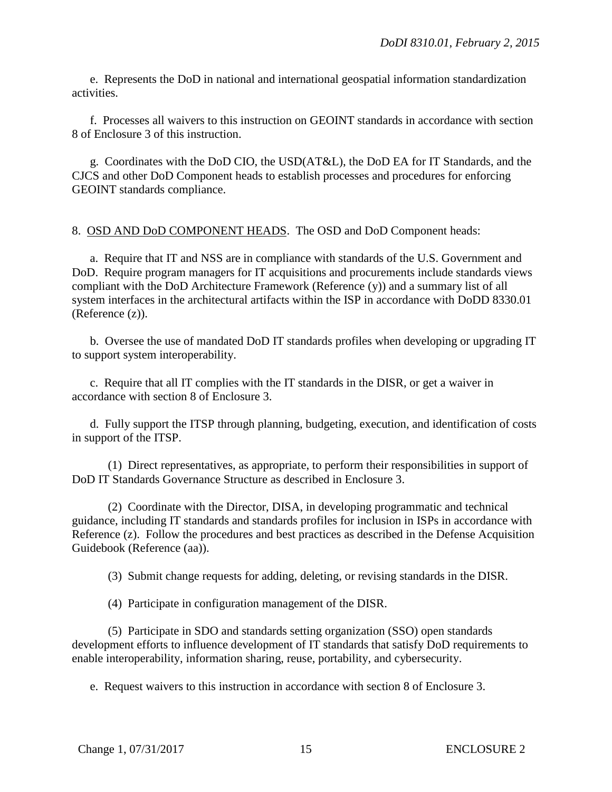e. Represents the DoD in national and international geospatial information standardization activities.

f. Processes all waivers to this instruction on GEOINT standards in accordance with section 8 of Enclosure 3 of this instruction.

g. Coordinates with the DoD CIO, the USD(AT&L), the DoD EA for IT Standards, and the CJCS and other DoD Component heads to establish processes and procedures for enforcing GEOINT standards compliance.

## 8. OSD AND DoD COMPONENT HEADS. The OSD and DoD Component heads:

a. Require that IT and NSS are in compliance with standards of the U.S. Government and DoD. Require program managers for IT acquisitions and procurements include standards views compliant with the DoD Architecture Framework (Reference (y)) and a summary list of all system interfaces in the architectural artifacts within the ISP in accordance with DoDD 8330.01 (Reference (z)).

b. Oversee the use of mandated DoD IT standards profiles when developing or upgrading IT to support system interoperability.

c. Require that all IT complies with the IT standards in the DISR, or get a waiver in accordance with section 8 of Enclosure 3.

d. Fully support the ITSP through planning, budgeting, execution, and identification of costs in support of the ITSP.

(1) Direct representatives, as appropriate, to perform their responsibilities in support of DoD IT Standards Governance Structure as described in Enclosure 3.

(2) Coordinate with the Director, DISA, in developing programmatic and technical guidance, including IT standards and standards profiles for inclusion in ISPs in accordance with Reference (z). Follow the procedures and best practices as described in the Defense Acquisition Guidebook (Reference (aa)).

(3) Submit change requests for adding, deleting, or revising standards in the DISR.

(4) Participate in configuration management of the DISR.

(5) Participate in SDO and standards setting organization (SSO) open standards development efforts to influence development of IT standards that satisfy DoD requirements to enable interoperability, information sharing, reuse, portability, and cybersecurity.

e. Request waivers to this instruction in accordance with section 8 of Enclosure 3.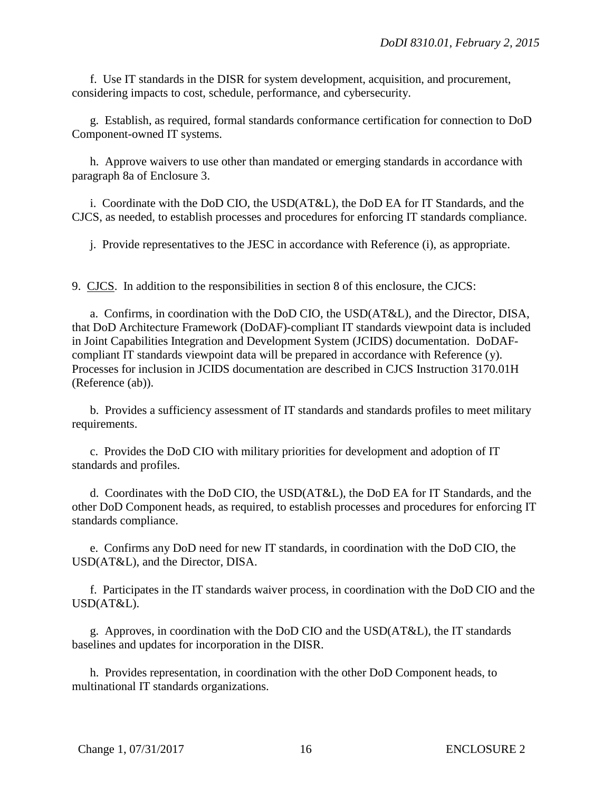f. Use IT standards in the DISR for system development, acquisition, and procurement, considering impacts to cost, schedule, performance, and cybersecurity.

g. Establish, as required, formal standards conformance certification for connection to DoD Component-owned IT systems.

h. Approve waivers to use other than mandated or emerging standards in accordance with paragraph 8a of Enclosure 3.

i. Coordinate with the DoD CIO, the USD(AT&L), the DoD EA for IT Standards, and the CJCS, as needed, to establish processes and procedures for enforcing IT standards compliance.

j. Provide representatives to the JESC in accordance with Reference (i), as appropriate.

9. CJCS. In addition to the responsibilities in section 8 of this enclosure, the CJCS:

a. Confirms, in coordination with the DoD CIO, the USD(AT&L), and the Director, DISA, that DoD Architecture Framework (DoDAF)-compliant IT standards viewpoint data is included in Joint Capabilities Integration and Development System (JCIDS) documentation. DoDAFcompliant IT standards viewpoint data will be prepared in accordance with Reference (y). Processes for inclusion in JCIDS documentation are described in CJCS Instruction 3170.01H (Reference (ab)).

b. Provides a sufficiency assessment of IT standards and standards profiles to meet military requirements.

c. Provides the DoD CIO with military priorities for development and adoption of IT standards and profiles.

d. Coordinates with the DoD CIO, the USD(AT&L), the DoD EA for IT Standards, and the other DoD Component heads, as required, to establish processes and procedures for enforcing IT standards compliance.

e. Confirms any DoD need for new IT standards, in coordination with the DoD CIO, the USD(AT&L), and the Director, DISA.

f. Participates in the IT standards waiver process, in coordination with the DoD CIO and the USD(AT&L).

g. Approves, in coordination with the DoD CIO and the USD(AT&L), the IT standards baselines and updates for incorporation in the DISR.

h. Provides representation, in coordination with the other DoD Component heads, to multinational IT standards organizations.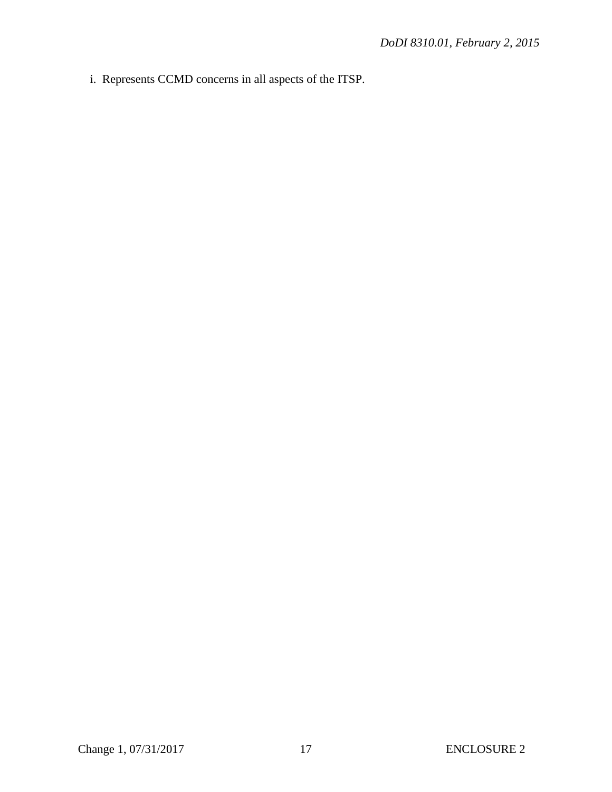i. Represents CCMD concerns in all aspects of the ITSP.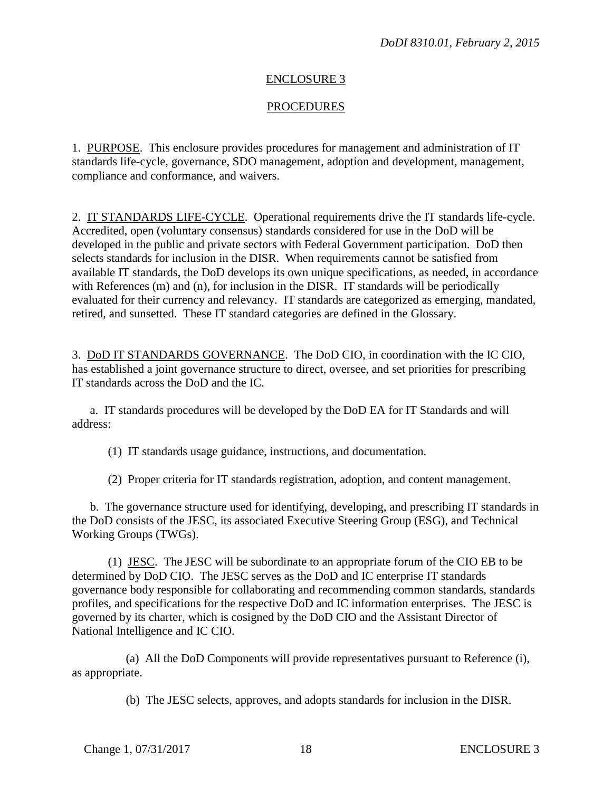## ENCLOSURE 3

#### **PROCEDURES**

1. PURPOSE. This enclosure provides procedures for management and administration of IT standards life-cycle, governance, SDO management, adoption and development, management, compliance and conformance, and waivers.

2. IT STANDARDS LIFE-CYCLE. Operational requirements drive the IT standards life-cycle. Accredited, open (voluntary consensus) standards considered for use in the DoD will be developed in the public and private sectors with Federal Government participation. DoD then selects standards for inclusion in the DISR. When requirements cannot be satisfied from available IT standards, the DoD develops its own unique specifications, as needed, in accordance with References (m) and (n), for inclusion in the DISR. IT standards will be periodically evaluated for their currency and relevancy. IT standards are categorized as emerging, mandated, retired, and sunsetted. These IT standard categories are defined in the Glossary.

3. DoD IT STANDARDS GOVERNANCE. The DoD CIO, in coordination with the IC CIO, has established a joint governance structure to direct, oversee, and set priorities for prescribing IT standards across the DoD and the IC.

a. IT standards procedures will be developed by the DoD EA for IT Standards and will address:

(1) IT standards usage guidance, instructions, and documentation.

(2) Proper criteria for IT standards registration, adoption, and content management.

b. The governance structure used for identifying, developing, and prescribing IT standards in the DoD consists of the JESC, its associated Executive Steering Group (ESG), and Technical Working Groups (TWGs).

(1) JESC. The JESC will be subordinate to an appropriate forum of the CIO EB to be determined by DoD CIO. The JESC serves as the DoD and IC enterprise IT standards governance body responsible for collaborating and recommending common standards, standards profiles, and specifications for the respective DoD and IC information enterprises. The JESC is governed by its charter, which is cosigned by the DoD CIO and the Assistant Director of National Intelligence and IC CIO.

(a) All the DoD Components will provide representatives pursuant to Reference (i), as appropriate.

(b) The JESC selects, approves, and adopts standards for inclusion in the DISR.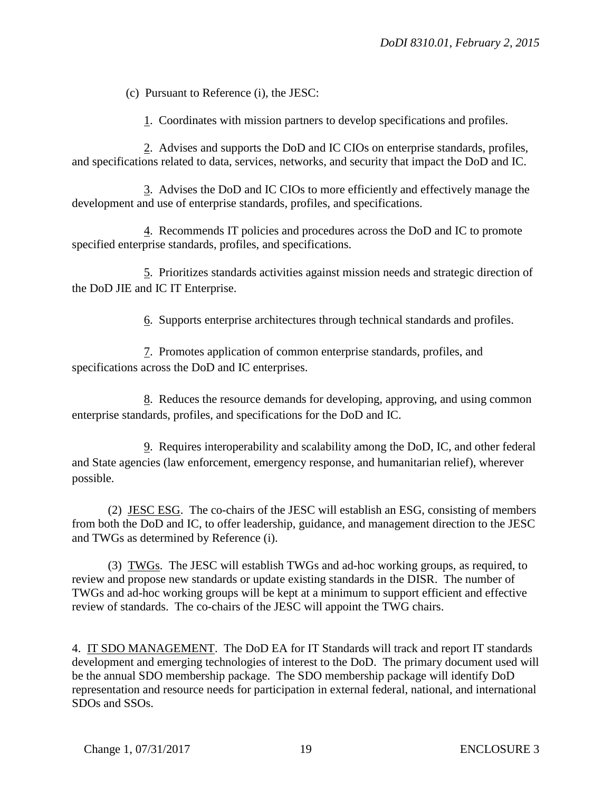(c) Pursuant to Reference (i), the JESC:

1. Coordinates with mission partners to develop specifications and profiles.

2. Advises and supports the DoD and IC CIOs on enterprise standards, profiles, and specifications related to data, services, networks, and security that impact the DoD and IC.

3. Advises the DoD and IC CIOs to more efficiently and effectively manage the development and use of enterprise standards, profiles, and specifications.

4. Recommends IT policies and procedures across the DoD and IC to promote specified enterprise standards, profiles, and specifications.

5. Prioritizes standards activities against mission needs and strategic direction of the DoD JIE and IC IT Enterprise.

6. Supports enterprise architectures through technical standards and profiles.

7. Promotes application of common enterprise standards, profiles, and specifications across the DoD and IC enterprises.

8. Reduces the resource demands for developing, approving, and using common enterprise standards, profiles, and specifications for the DoD and IC.

9. Requires interoperability and scalability among the DoD, IC, and other federal and State agencies (law enforcement, emergency response, and humanitarian relief), wherever possible.

(2) JESC ESG. The co-chairs of the JESC will establish an ESG, consisting of members from both the DoD and IC, to offer leadership, guidance, and management direction to the JESC and TWGs as determined by Reference (i).

(3) TWGs. The JESC will establish TWGs and ad-hoc working groups, as required, to review and propose new standards or update existing standards in the DISR. The number of TWGs and ad-hoc working groups will be kept at a minimum to support efficient and effective review of standards. The co-chairs of the JESC will appoint the TWG chairs.

4. IT SDO MANAGEMENT. The DoD EA for IT Standards will track and report IT standards development and emerging technologies of interest to the DoD. The primary document used will be the annual SDO membership package. The SDO membership package will identify DoD representation and resource needs for participation in external federal, national, and international SDOs and SSOs.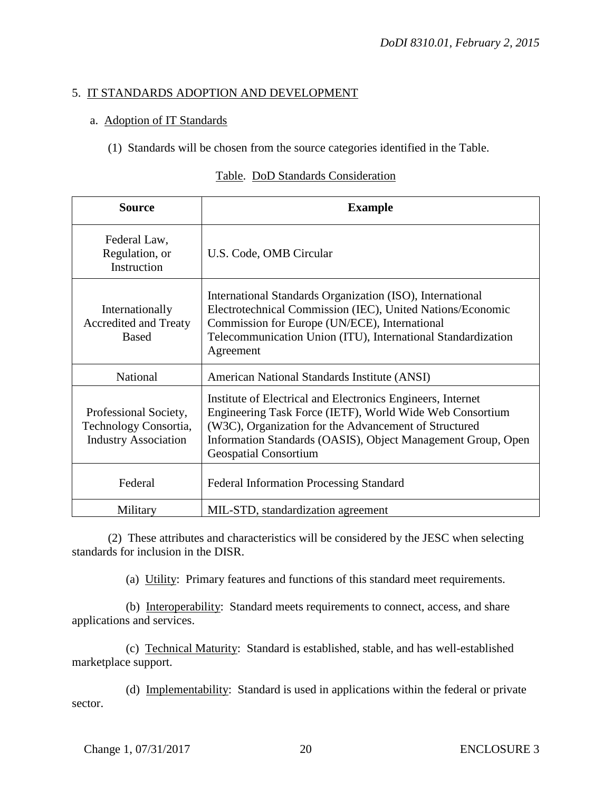# 5. IT STANDARDS ADOPTION AND DEVELOPMENT

## a. Adoption of IT Standards

(1) Standards will be chosen from the source categories identified in the Table.

#### Table. DoD Standards Consideration

| <b>Source</b>                                                                 | <b>Example</b>                                                                                                                                                                                                                                                                   |
|-------------------------------------------------------------------------------|----------------------------------------------------------------------------------------------------------------------------------------------------------------------------------------------------------------------------------------------------------------------------------|
| Federal Law,<br>Regulation, or<br>Instruction                                 | U.S. Code, OMB Circular                                                                                                                                                                                                                                                          |
| Internationally<br>Accredited and Treaty<br><b>Based</b>                      | International Standards Organization (ISO), International<br>Electrotechnical Commission (IEC), United Nations/Economic<br>Commission for Europe (UN/ECE), International<br>Telecommunication Union (ITU), International Standardization<br>Agreement                            |
| National                                                                      | American National Standards Institute (ANSI)                                                                                                                                                                                                                                     |
| Professional Society,<br>Technology Consortia,<br><b>Industry Association</b> | Institute of Electrical and Electronics Engineers, Internet<br>Engineering Task Force (IETF), World Wide Web Consortium<br>(W3C), Organization for the Advancement of Structured<br>Information Standards (OASIS), Object Management Group, Open<br><b>Geospatial Consortium</b> |
| Federal                                                                       | <b>Federal Information Processing Standard</b>                                                                                                                                                                                                                                   |
| Military                                                                      | MIL-STD, standardization agreement                                                                                                                                                                                                                                               |

(2) These attributes and characteristics will be considered by the JESC when selecting standards for inclusion in the DISR.

(a) Utility: Primary features and functions of this standard meet requirements.

(b) Interoperability: Standard meets requirements to connect, access, and share applications and services.

(c) Technical Maturity: Standard is established, stable, and has well-established marketplace support.

(d) Implementability: Standard is used in applications within the federal or private sector.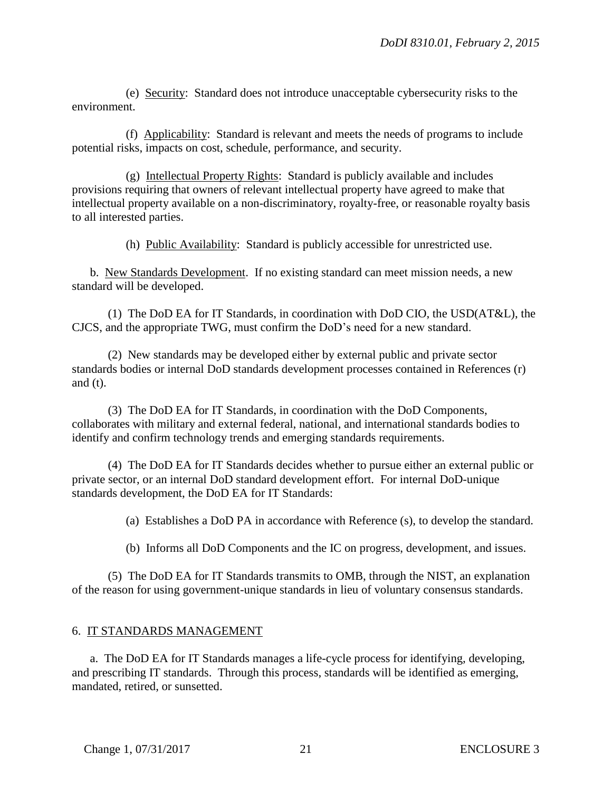(e) Security: Standard does not introduce unacceptable cybersecurity risks to the environment.

(f) Applicability: Standard is relevant and meets the needs of programs to include potential risks, impacts on cost, schedule, performance, and security.

(g) Intellectual Property Rights: Standard is publicly available and includes provisions requiring that owners of relevant intellectual property have agreed to make that intellectual property available on a non-discriminatory, royalty-free, or reasonable royalty basis to all interested parties.

(h) Public Availability: Standard is publicly accessible for unrestricted use.

b. New Standards Development. If no existing standard can meet mission needs, a new standard will be developed.

(1) The DoD EA for IT Standards, in coordination with DoD CIO, the USD(AT&L), the CJCS, and the appropriate TWG, must confirm the DoD's need for a new standard.

(2) New standards may be developed either by external public and private sector standards bodies or internal DoD standards development processes contained in References (r) and (t).

(3) The DoD EA for IT Standards, in coordination with the DoD Components, collaborates with military and external federal, national, and international standards bodies to identify and confirm technology trends and emerging standards requirements.

(4) The DoD EA for IT Standards decides whether to pursue either an external public or private sector, or an internal DoD standard development effort. For internal DoD-unique standards development, the DoD EA for IT Standards:

(a) Establishes a DoD PA in accordance with Reference (s), to develop the standard.

(b) Informs all DoD Components and the IC on progress, development, and issues.

(5) The DoD EA for IT Standards transmits to OMB, through the NIST, an explanation of the reason for using government-unique standards in lieu of voluntary consensus standards.

## 6. IT STANDARDS MANAGEMENT

a. The DoD EA for IT Standards manages a life-cycle process for identifying, developing, and prescribing IT standards. Through this process, standards will be identified as emerging, mandated, retired, or sunsetted.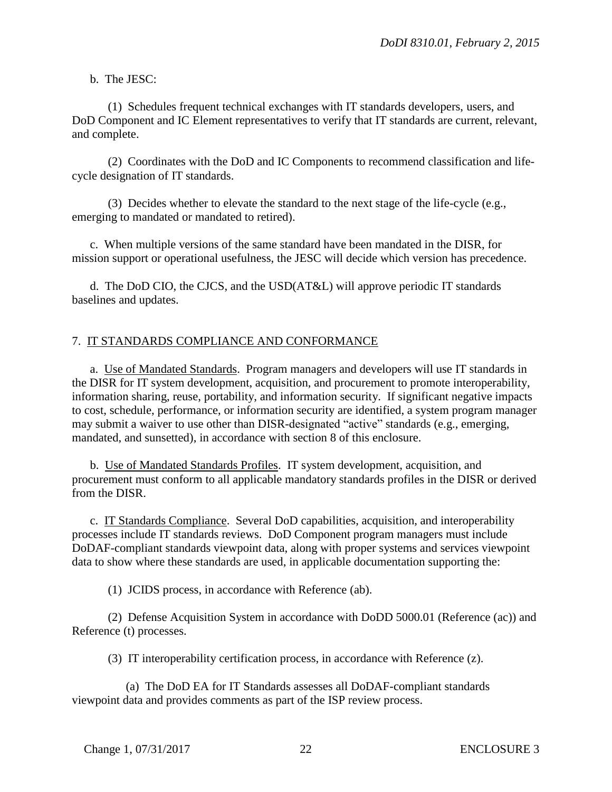b. The JESC:

(1) Schedules frequent technical exchanges with IT standards developers, users, and DoD Component and IC Element representatives to verify that IT standards are current, relevant, and complete.

(2) Coordinates with the DoD and IC Components to recommend classification and lifecycle designation of IT standards.

(3) Decides whether to elevate the standard to the next stage of the life-cycle (e.g., emerging to mandated or mandated to retired).

c. When multiple versions of the same standard have been mandated in the DISR, for mission support or operational usefulness, the JESC will decide which version has precedence.

d. The DoD CIO, the CJCS, and the USD(AT&L) will approve periodic IT standards baselines and updates.

# 7. IT STANDARDS COMPLIANCE AND CONFORMANCE

a. Use of Mandated Standards. Program managers and developers will use IT standards in the DISR for IT system development, acquisition, and procurement to promote interoperability, information sharing, reuse, portability, and information security. If significant negative impacts to cost, schedule, performance, or information security are identified, a system program manager may submit a waiver to use other than DISR-designated "active" standards (e.g., emerging, mandated, and sunsetted), in accordance with section 8 of this enclosure.

b. Use of Mandated Standards Profiles. IT system development, acquisition, and procurement must conform to all applicable mandatory standards profiles in the DISR or derived from the DISR.

c. IT Standards Compliance. Several DoD capabilities, acquisition, and interoperability processes include IT standards reviews. DoD Component program managers must include DoDAF-compliant standards viewpoint data, along with proper systems and services viewpoint data to show where these standards are used, in applicable documentation supporting the:

(1) JCIDS process, in accordance with Reference (ab).

(2) Defense Acquisition System in accordance with DoDD 5000.01 (Reference (ac)) and Reference (t) processes.

(3) IT interoperability certification process, in accordance with Reference (z).

(a) The DoD EA for IT Standards assesses all DoDAF-compliant standards viewpoint data and provides comments as part of the ISP review process.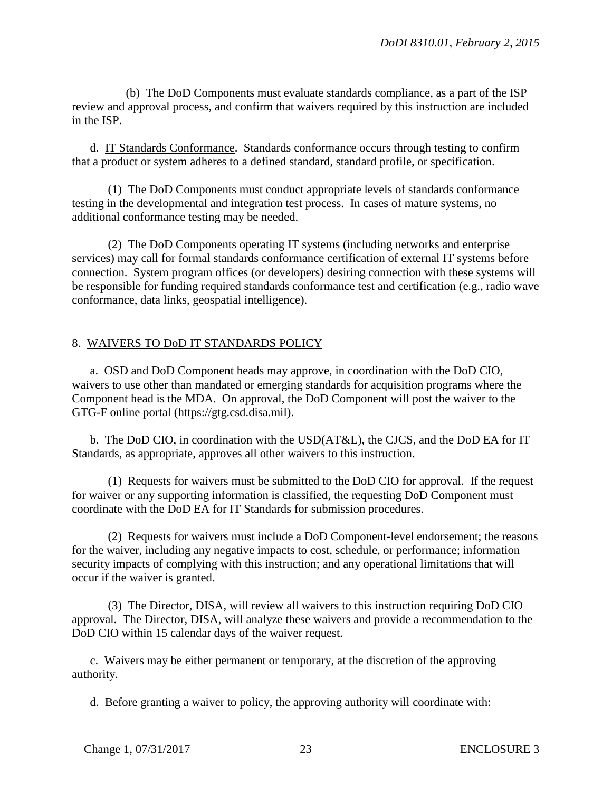(b) The DoD Components must evaluate standards compliance, as a part of the ISP review and approval process, and confirm that waivers required by this instruction are included in the ISP.

d. IT Standards Conformance. Standards conformance occurs through testing to confirm that a product or system adheres to a defined standard, standard profile, or specification.

(1) The DoD Components must conduct appropriate levels of standards conformance testing in the developmental and integration test process. In cases of mature systems, no additional conformance testing may be needed.

(2) The DoD Components operating IT systems (including networks and enterprise services) may call for formal standards conformance certification of external IT systems before connection. System program offices (or developers) desiring connection with these systems will be responsible for funding required standards conformance test and certification (e.g., radio wave conformance, data links, geospatial intelligence).

## 8. WAIVERS TO DoD IT STANDARDS POLICY

a. OSD and DoD Component heads may approve, in coordination with the DoD CIO, waivers to use other than mandated or emerging standards for acquisition programs where the Component head is the MDA. On approval, the DoD Component will post the waiver to the GTG-F online portal (https://gtg.csd.disa.mil).

b. The DoD CIO, in coordination with the USD(AT&L), the CJCS, and the DoD EA for IT Standards, as appropriate, approves all other waivers to this instruction.

(1) Requests for waivers must be submitted to the DoD CIO for approval. If the request for waiver or any supporting information is classified, the requesting DoD Component must coordinate with the DoD EA for IT Standards for submission procedures.

(2) Requests for waivers must include a DoD Component-level endorsement; the reasons for the waiver, including any negative impacts to cost, schedule, or performance; information security impacts of complying with this instruction; and any operational limitations that will occur if the waiver is granted.

(3) The Director, DISA, will review all waivers to this instruction requiring DoD CIO approval. The Director, DISA, will analyze these waivers and provide a recommendation to the DoD CIO within 15 calendar days of the waiver request.

c. Waivers may be either permanent or temporary, at the discretion of the approving authority.

d. Before granting a waiver to policy, the approving authority will coordinate with: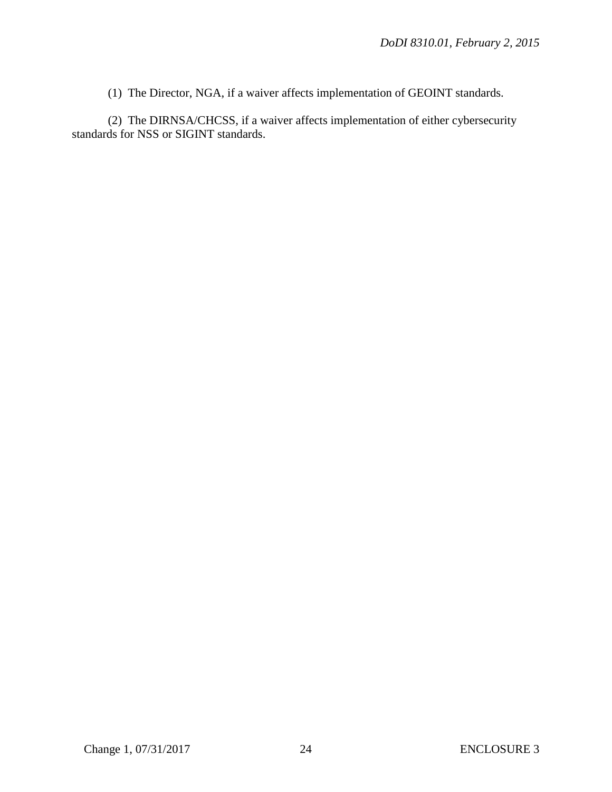(1) The Director, NGA, if a waiver affects implementation of GEOINT standards.

(2) The DIRNSA/CHCSS, if a waiver affects implementation of either cybersecurity standards for NSS or SIGINT standards.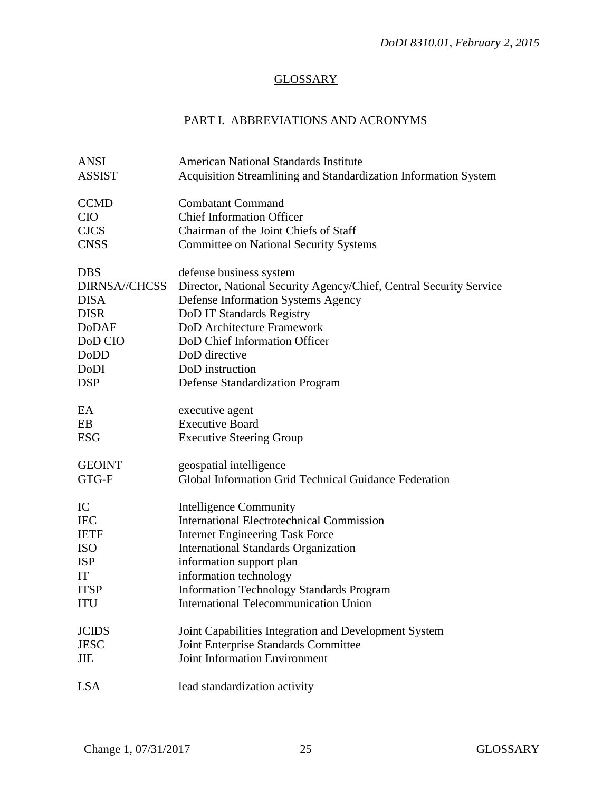# **GLOSSARY**

# PART I. ABBREVIATIONS AND ACRONYMS

| <b>ANSI</b>          | <b>American National Standards Institute</b>                       |
|----------------------|--------------------------------------------------------------------|
| <b>ASSIST</b>        | Acquisition Streamlining and Standardization Information System    |
|                      |                                                                    |
| <b>CCMD</b>          | <b>Combatant Command</b>                                           |
| <b>CIO</b>           | <b>Chief Information Officer</b>                                   |
| <b>CJCS</b>          | Chairman of the Joint Chiefs of Staff                              |
| <b>CNSS</b>          | <b>Committee on National Security Systems</b>                      |
| <b>DBS</b>           | defense business system                                            |
| <b>DIRNSA//CHCSS</b> | Director, National Security Agency/Chief, Central Security Service |
| <b>DISA</b>          | <b>Defense Information Systems Agency</b>                          |
| <b>DISR</b>          | DoD IT Standards Registry                                          |
| <b>DoDAF</b>         | DoD Architecture Framework                                         |
| DoD CIO              | DoD Chief Information Officer                                      |
| DoDD                 | DoD directive                                                      |
|                      | DoD instruction                                                    |
| DoDI                 |                                                                    |
| <b>DSP</b>           | Defense Standardization Program                                    |
| EA                   | executive agent                                                    |
| EB                   | <b>Executive Board</b>                                             |
| <b>ESG</b>           | <b>Executive Steering Group</b>                                    |
| <b>GEOINT</b>        | geospatial intelligence                                            |
| GTG-F                | Global Information Grid Technical Guidance Federation              |
|                      |                                                                    |
| IC                   | Intelligence Community                                             |
| <b>IEC</b>           | <b>International Electrotechnical Commission</b>                   |
| <b>IETF</b>          | <b>Internet Engineering Task Force</b>                             |
| <b>ISO</b>           | <b>International Standards Organization</b>                        |
| <b>ISP</b>           | information support plan                                           |
| IT                   | information technology                                             |
| <b>ITSP</b>          | <b>Information Technology Standards Program</b>                    |
| ITU                  | <b>International Telecommunication Union</b>                       |
| <b>JCIDS</b>         | Joint Capabilities Integration and Development System              |
| <b>JESC</b>          | Joint Enterprise Standards Committee                               |
| JIE                  | <b>Joint Information Environment</b>                               |
|                      |                                                                    |
| <b>LSA</b>           | lead standardization activity                                      |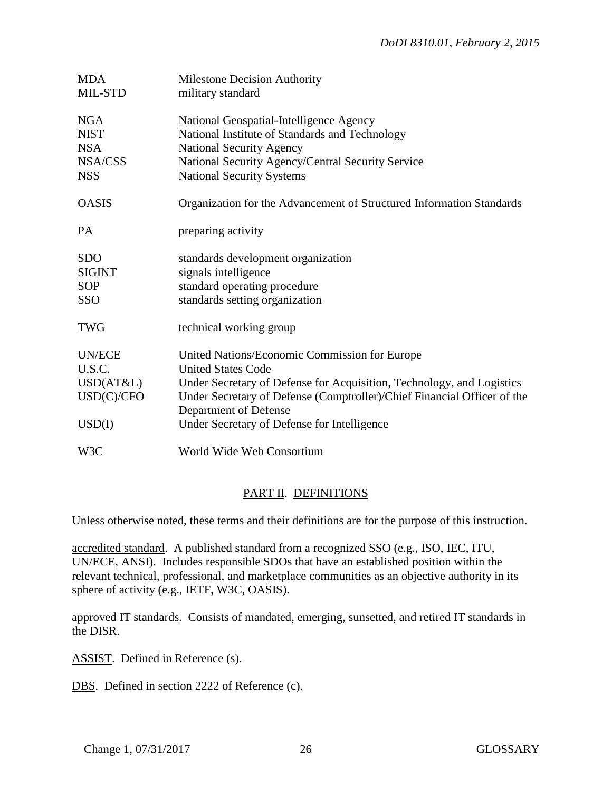| <b>MDA</b><br>MIL-STD                                            | <b>Milestone Decision Authority</b><br>military standard                                                                                                                                                                                                                                               |
|------------------------------------------------------------------|--------------------------------------------------------------------------------------------------------------------------------------------------------------------------------------------------------------------------------------------------------------------------------------------------------|
| <b>NGA</b><br><b>NIST</b><br><b>NSA</b><br>NSA/CSS<br><b>NSS</b> | National Geospatial-Intelligence Agency<br>National Institute of Standards and Technology<br><b>National Security Agency</b><br>National Security Agency/Central Security Service<br><b>National Security Systems</b>                                                                                  |
| <b>OASIS</b>                                                     | Organization for the Advancement of Structured Information Standards                                                                                                                                                                                                                                   |
| <b>PA</b>                                                        | preparing activity                                                                                                                                                                                                                                                                                     |
| <b>SDO</b><br><b>SIGINT</b><br><b>SOP</b><br><b>SSO</b>          | standards development organization<br>signals intelligence<br>standard operating procedure<br>standards setting organization                                                                                                                                                                           |
| <b>TWG</b>                                                       | technical working group                                                                                                                                                                                                                                                                                |
| <b>UN/ECE</b><br>U.S.C.<br>USD(AT&L)<br>USD(C)/CFO<br>USD(I)     | United Nations/Economic Commission for Europe<br><b>United States Code</b><br>Under Secretary of Defense for Acquisition, Technology, and Logistics<br>Under Secretary of Defense (Comptroller)/Chief Financial Officer of the<br>Department of Defense<br>Under Secretary of Defense for Intelligence |
| W3C                                                              | World Wide Web Consortium                                                                                                                                                                                                                                                                              |

# PART II. DEFINITIONS

Unless otherwise noted, these terms and their definitions are for the purpose of this instruction.

accredited standard. A published standard from a recognized SSO (e.g., ISO, IEC, ITU, UN/ECE, ANSI). Includes responsible SDOs that have an established position within the relevant technical, professional, and marketplace communities as an objective authority in its sphere of activity (e.g., IETF, W3C, OASIS).

approved IT standards. Consists of mandated, emerging, sunsetted, and retired IT standards in the DISR.

ASSIST. Defined in Reference (s).

DBS. Defined in section 2222 of Reference (c).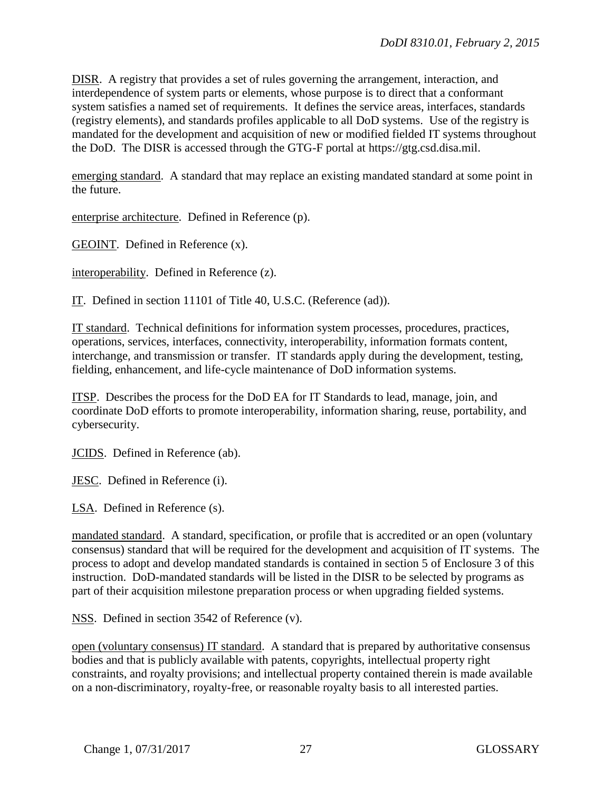DISR. A registry that provides a set of rules governing the arrangement, interaction, and interdependence of system parts or elements, whose purpose is to direct that a conformant system satisfies a named set of requirements. It defines the service areas, interfaces, standards (registry elements), and standards profiles applicable to all DoD systems. Use of the registry is mandated for the development and acquisition of new or modified fielded IT systems throughout the DoD. The DISR is accessed through the GTG-F portal at https://gtg.csd.disa.mil.

emerging standard. A standard that may replace an existing mandated standard at some point in the future.

enterprise architecture. Defined in Reference (p).

GEOINT. Defined in Reference (x).

interoperability. Defined in Reference (z).

IT. Defined in section 11101 of Title 40, U.S.C. (Reference (ad)).

IT standard. Technical definitions for information system processes, procedures, practices, operations, services, interfaces, connectivity, interoperability, information formats content, interchange, and transmission or transfer. IT standards apply during the development, testing, fielding, enhancement, and life-cycle maintenance of DoD information systems.

ITSP. Describes the process for the DoD EA for IT Standards to lead, manage, join, and coordinate DoD efforts to promote interoperability, information sharing, reuse, portability, and cybersecurity.

JCIDS. Defined in Reference (ab).

JESC. Defined in Reference (i).

LSA. Defined in Reference (s).

mandated standard. A standard, specification, or profile that is accredited or an open (voluntary consensus) standard that will be required for the development and acquisition of IT systems. The process to adopt and develop mandated standards is contained in section 5 of Enclosure 3 of this instruction. DoD-mandated standards will be listed in the DISR to be selected by programs as part of their acquisition milestone preparation process or when upgrading fielded systems.

NSS. Defined in section 3542 of Reference (v).

open (voluntary consensus) IT standard. A standard that is prepared by authoritative consensus bodies and that is publicly available with patents, copyrights, intellectual property right constraints, and royalty provisions; and intellectual property contained therein is made available on a non-discriminatory, royalty-free, or reasonable royalty basis to all interested parties.